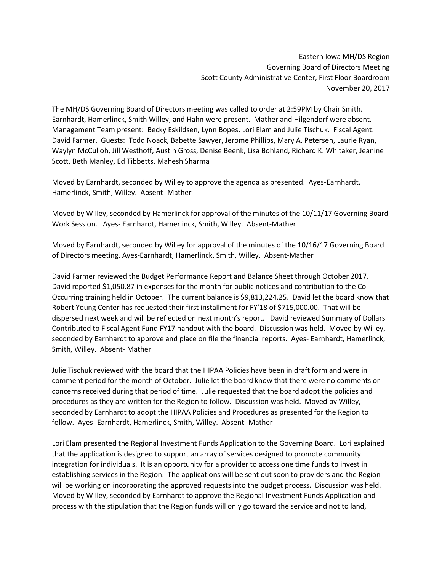Eastern Iowa MH/DS Region Governing Board of Directors Meeting Scott County Administrative Center, First Floor Boardroom November 20, 2017

The MH/DS Governing Board of Directors meeting was called to order at 2:59PM by Chair Smith. Earnhardt, Hamerlinck, Smith Willey, and Hahn were present. Mather and Hilgendorf were absent. Management Team present: Becky Eskildsen, Lynn Bopes, Lori Elam and Julie Tischuk. Fiscal Agent: David Farmer. Guests: Todd Noack, Babette Sawyer, Jerome Phillips, Mary A. Petersen, Laurie Ryan, Waylyn McCulloh, Jill Westhoff, Austin Gross, Denise Beenk, Lisa Bohland, Richard K. Whitaker, Jeanine Scott, Beth Manley, Ed Tibbetts, Mahesh Sharma

Moved by Earnhardt, seconded by Willey to approve the agenda as presented. Ayes-Earnhardt, Hamerlinck, Smith, Willey. Absent- Mather

Moved by Willey, seconded by Hamerlinck for approval of the minutes of the 10/11/17 Governing Board Work Session. Ayes- Earnhardt, Hamerlinck, Smith, Willey. Absent-Mather

Moved by Earnhardt, seconded by Willey for approval of the minutes of the 10/16/17 Governing Board of Directors meeting. Ayes-Earnhardt, Hamerlinck, Smith, Willey. Absent-Mather

David Farmer reviewed the Budget Performance Report and Balance Sheet through October 2017. David reported \$1,050.87 in expenses for the month for public notices and contribution to the Co-Occurring training held in October. The current balance is \$9,813,224.25. David let the board know that Robert Young Center has requested their first installment for FY'18 of \$715,000.00. That will be dispersed next week and will be reflected on next month's report. David reviewed Summary of Dollars Contributed to Fiscal Agent Fund FY17 handout with the board. Discussion was held. Moved by Willey, seconded by Earnhardt to approve and place on file the financial reports. Ayes- Earnhardt, Hamerlinck, Smith, Willey. Absent- Mather

Julie Tischuk reviewed with the board that the HIPAA Policies have been in draft form and were in comment period for the month of October. Julie let the board know that there were no comments or concerns received during that period of time. Julie requested that the board adopt the policies and procedures as they are written for the Region to follow. Discussion was held. Moved by Willey, seconded by Earnhardt to adopt the HIPAA Policies and Procedures as presented for the Region to follow. Ayes- Earnhardt, Hamerlinck, Smith, Willey. Absent- Mather

Lori Elam presented the Regional Investment Funds Application to the Governing Board. Lori explained that the application is designed to support an array of services designed to promote community integration for individuals. It is an opportunity for a provider to access one time funds to invest in establishing services in the Region. The applications will be sent out soon to providers and the Region will be working on incorporating the approved requests into the budget process. Discussion was held. Moved by Willey, seconded by Earnhardt to approve the Regional Investment Funds Application and process with the stipulation that the Region funds will only go toward the service and not to land,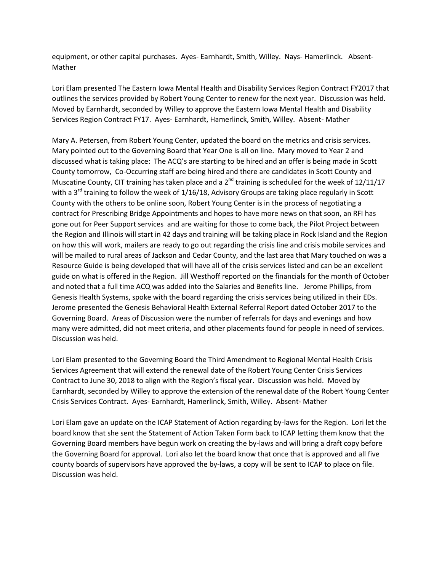equipment, or other capital purchases. Ayes- Earnhardt, Smith, Willey. Nays- Hamerlinck. Absent-Mather

Lori Elam presented The Eastern Iowa Mental Health and Disability Services Region Contract FY2017 that outlines the services provided by Robert Young Center to renew for the next year. Discussion was held. Moved by Earnhardt, seconded by Willey to approve the Eastern Iowa Mental Health and Disability Services Region Contract FY17. Ayes- Earnhardt, Hamerlinck, Smith, Willey. Absent- Mather

Mary A. Petersen, from Robert Young Center, updated the board on the metrics and crisis services. Mary pointed out to the Governing Board that Year One is all on line. Mary moved to Year 2 and discussed what is taking place: The ACQ's are starting to be hired and an offer is being made in Scott County tomorrow, Co-Occurring staff are being hired and there are candidates in Scott County and Muscatine County, CIT training has taken place and a  $2^{nd}$  training is scheduled for the week of 12/11/17 with a  $3^{rd}$  training to follow the week of  $1/16/18$ , Advisory Groups are taking place regularly in Scott County with the others to be online soon, Robert Young Center is in the process of negotiating a contract for Prescribing Bridge Appointments and hopes to have more news on that soon, an RFI has gone out for Peer Support services and are waiting for those to come back, the Pilot Project between the Region and Illinois will start in 42 days and training will be taking place in Rock Island and the Region on how this will work, mailers are ready to go out regarding the crisis line and crisis mobile services and will be mailed to rural areas of Jackson and Cedar County, and the last area that Mary touched on was a Resource Guide is being developed that will have all of the crisis services listed and can be an excellent guide on what is offered in the Region. Jill Westhoff reported on the financials for the month of October and noted that a full time ACQ was added into the Salaries and Benefits line. Jerome Phillips, from Genesis Health Systems, spoke with the board regarding the crisis services being utilized in their EDs. Jerome presented the Genesis Behavioral Health External Referral Report dated October 2017 to the Governing Board. Areas of Discussion were the number of referrals for days and evenings and how many were admitted, did not meet criteria, and other placements found for people in need of services. Discussion was held.

Lori Elam presented to the Governing Board the Third Amendment to Regional Mental Health Crisis Services Agreement that will extend the renewal date of the Robert Young Center Crisis Services Contract to June 30, 2018 to align with the Region's fiscal year. Discussion was held. Moved by Earnhardt, seconded by Willey to approve the extension of the renewal date of the Robert Young Center Crisis Services Contract. Ayes- Earnhardt, Hamerlinck, Smith, Willey. Absent- Mather

Lori Elam gave an update on the ICAP Statement of Action regarding by-laws for the Region. Lori let the board know that she sent the Statement of Action Taken Form back to ICAP letting them know that the Governing Board members have begun work on creating the by-laws and will bring a draft copy before the Governing Board for approval. Lori also let the board know that once that is approved and all five county boards of supervisors have approved the by-laws, a copy will be sent to ICAP to place on file. Discussion was held.